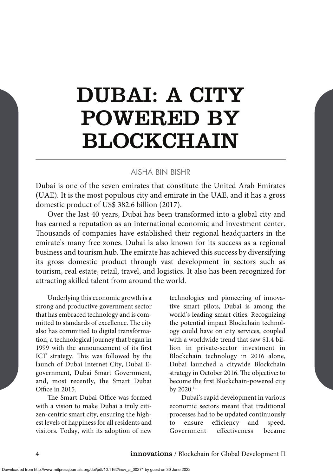# DUBAI: A CITY POWERED BY BLOCKCHAIN

## AISHA BIN BISHR

Dubai is one of the seven emirates that constitute the United Arab Emirates (UAE). It is the most populous city and emirate in the UAE, and it has a gross domestic product of US\$ 382.6 billion (2017).

Over the last 40 years, Dubai has been transformed into a global city and has earned a reputation as an international economic and investment center. Thousands of companies have established their regional headquarters in the emirate's many free zones. Dubai is also known for its success as a regional business and tourism hub. The emirate has achieved this success by diversifying its gross domestic product through vast development in sectors such as tourism, real estate, retail, travel, and logistics. It also has been recognized for attracting skilled talent from around the world.

Underlying this economic growth is a strong and productive government sector that has embraced technology and is committed to standards of excellence. The city also has committed to digital transformation, a technological journey that began in 1999 with the announcement of its first ICT strategy. This was followed by the launch of Dubai Internet City, Dubai Egovernment, Dubai Smart Government, and, most recently, the Smart Dubai Office in 2015.

The Smart Dubai Office was formed with a vision to make Dubai a truly citizen-centric smart city, ensuring the highest levels of happiness for all residents and visitors. Today, with its adoption of new technologies and pioneering of innovative smart pilots, Dubai is among the world's leading smart cities. Recognizing the potential impact Blockchain technology could have on city services, coupled with a worldwide trend that saw \$1.4 billion in private-sector investment in Blockchain technology in 2016 alone, Dubai launched a citywide Blockchain strategy in October 2016. The objective: to become the first Blockchain-powered city by 2020.1.

Dubai's rapid development in various economic sectors meant that traditional processes had to be updated continuously to ensure efficiency and speed. Government effectiveness became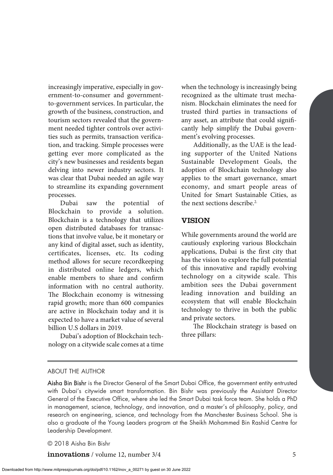increasingly imperative, especially in government-to-consumer and governmentto-government services. In particular, the growth of the business, construction, and tourism sectors revealed that the government needed tighter controls over activities such as permits, transaction verification, and tracking. Simple processes were getting ever more complicated as the city's new businesses and residents began delving into newer industry sectors. It was clear that Dubai needed an agile way to streamline its expanding government processes.

Dubai saw the potential of Blockchain to provide a solution. Blockchain is a technology that utilizes open distributed databases for transactions that involve value, be it monetary or any kind of digital asset, such as identity, certificates, licenses, etc. Its coding method allows for secure recordkeeping in distributed online ledgers, which enable members to share and confirm information with no central authority. The Blockchain economy is witnessing rapid growth; more than 600 companies are active in Blockchain today and it is expected to have a market value of several billion U.S dollars in 2019.

Dubai's adoption of Blockchain technology on a citywide scale comes at a time when the technology is increasingly being recognized as the ultimate trust mechanism. Blockchain eliminates the need for trusted third parties in transactions of any asset, an attribute that could significantly help simplify the Dubai government's evolving processes.

Additionally, as the UAE is the leading supporter of the United Nations Sustainable Development Goals, the adoption of Blockchain technology also applies to the smart governance, smart economy, and smart people areas of United for Smart Sustainable Cities, as the next sections describe.2.

## VISION

While governments around the world are cautiously exploring various Blockchain applications, Dubai is the first city that has the vision to explore the full potential of this innovative and rapidly evolving technology on a citywide scale. This ambition sees the Dubai government leading innovation and building an ecosystem that will enable Blockchain technology to thrive in both the public and private sectors.

The Blockchain strategy is based on three pillars:

#### ABOUT THE AUTHOR

Aisha Bin Bishr is the Director General of the Smart Dubai Office, the government entity entrusted with Dubai's citywide smart transformation. Bin Bishr was previously the Assistant Director General of the Executive Office, where she led the Smart Dubai task force team. She holds a PhD in management, science, technology, and innovation, and a master's of philosophy, policy, and research on engineering, science, and technology from the Manchester Business School. She is also a graduate of the Young Leaders program at the Sheikh Mohammed Bin Rashid Centre for Leadership Development.

© 2018 Aisha Bin Bishr

**innovations** / volume 12, number 3/4 5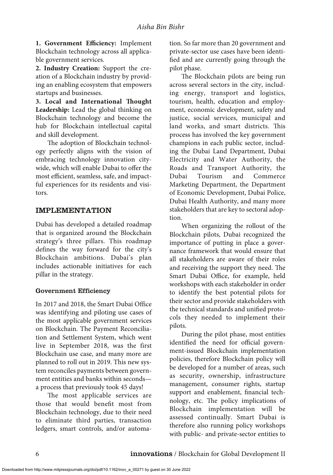**1. Government Efficiency:** Implement Blockchain technology across all applicable government services.

**2. Industry Creation:** Support the creation of a Blockchain industry by providing an enabling ecosystem that empowers startups and businesses.

**3. Local and International Thought Leadership:** Lead the global thinking on Blockchain technology and become the hub for Blockchain intellectual capital and skill development.

The adoption of Blockchain technology perfectly aligns with the vision of embracing technology innovation citywide, which will enable Dubai to offer the most efficient, seamless, safe, and impactful experiences for its residents and visitors.

# IMPLEMENTATION

Dubai has developed a detailed roadmap that is organized around the Blockchain strategy's three pillars. This roadmap defines the way forward for the city's Blockchain ambitions. Dubai's plan includes actionable initiatives for each pillar in the strategy.

## Government Efficiency

In 2017 and 2018, the Smart Dubai Office was identifying and piloting use cases of the most applicable government services on Blockchain. The Payment Reconciliation and Settlement System, which went live in September 2018, was the first Blockchain use case, and many more are planned to roll out in 2019. This new system reconciles payments between government entities and banks within seconds a process that previously took 45 days!

The most applicable services are those that would benefit most from Blockchain technology, due to their need to eliminate third parties, transaction ledgers, smart controls, and/or automa-

Downloaded from http://www.mitpressjournals.org/doi/pdf/10.1162/inov\_a\_00271 by guest on 30 June 2022

tion. So far more than 20 government and private-sector use cases have been identified and are currently going through the pilot phase.

The Blockchain pilots are being run across several sectors in the city, including energy, transport and logistics, tourism, health, education and employment, economic development, safety and justice, social services, municipal and land works, and smart districts. This process has involved the key government champions in each public sector, including the Dubai Land Department, Dubai Electricity and Water Authority, the Roads and Transport Authority, the Dubai Tourism and Commerce Marketing Department, the Department of Economic Development, Dubai Police, Dubai Health Authority, and many more stakeholders that are key to sectoral adoption.

When organizing the rollout of the Blockchain pilots, Dubai recognized the importance of putting in place a governance framework that would ensure that all stakeholders are aware of their roles and receiving the support they need. The Smart Dubai Office, for example, held workshops with each stakeholder in order to identify the best potential pilots for their sector and provide stakeholders with the technical standards and unified protocols they needed to implement their pilots.

During the pilot phase, most entities identified the need for official government-issued Blockchain implementation policies, therefore Blockchain policy will be developed for a number of areas, such as security, ownership, infrastructure management, consumer rights, startup support and enablement, financial technology, etc. The policy implications of Blockchain implementation will be assessed continually. Smart Dubai is therefore also running policy workshops with public- and private-sector entities to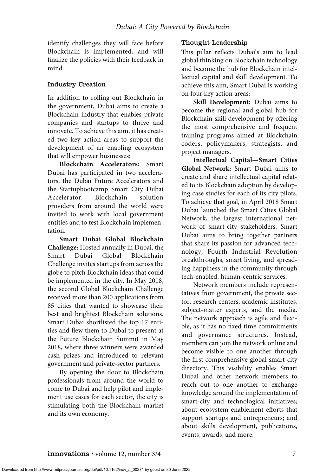identify challenges they will face before Blockchain is implemented, and will finalize the policies with their feedback in mind.

## Industry Creation

In addition to rolling out Blockchain in the government, Dubai aims to create a Blockchain industry that enables private companies and startups to thrive and innovate. To achieve this aim, it has created two key action areas to support the development of an enabling ecosystem that will empower businesses:

**Blockchain Accelerators:** Smart Dubai has participated in two accelerators, the Dubai Future Accelerators and the Startupbootcamp Smart City Dubai Accelerator. Blockchain solution providers from around the world were invited to work with local government entities and to test Blockchain implementation.

**Smart Dubai Global Blockchain Challenge:** Hosted annually in Dubai, the Smart Dubai Global Blockchain Challenge invites startups from across the globe to pitch Blockchain ideas that could be implemented in the city. In May 2018, the second Global Blockchain Challenge received more than 200 applications from 85 cities that wanted to showcase their best and brightest Blockchain solutions. Smart Dubai shortlisted the top 17 entities and flew them to Dubai to present at the Future Blockchain Summit in May 2018, where three winners were awarded cash prizes and introduced to relevant government and private-sector partners.

By opening the door to Blockchain professionals from around the world to come to Dubai and help pilot and implement use cases for each sector, the city is stimulating both the Blockchain market and its own economy.

# Thought Leadership

This pillar reflects Dubai's aim to lead global thinking on Blockchain technology and become the hub for Blockchain intellectual capital and skill development. To achieve this aim, Smart Dubai is working on four key action areas:

**Skill Development:** Dubai aims to become the regional and global hub for Blockchain skill development by offering the most comprehensive and frequent training programs aimed at Blockchain coders, policymakers, strategists, and project managers.

**Intellectual Capital—Smart Cities Global Network:** Smart Dubai aims to create and share intellectual capital related to its Blockchain adoption by developing case studies for each of its city pilots. To achieve that goal, in April 2018 Smart Dubai launched the Smart Cities Global Network, the largest international network of smart-city stakeholders. Smart Dubai aims to bring together partners that share its passion for advanced technology, Fourth Industrial Revolution breakthroughs, smart living, and spreading happiness in the community through tech-enabled, human-centric services.

Network members include representatives from government, the private sector, research centers, academic institutes, subject-matter experts, and the media. The network approach is agile and flexible, as it has no fixed time commitments and governance structures. Instead, members can join the network online and become visible to one another through the first comprehensive global smart-city directory. This visibility enables Smart Dubai and other network members to reach out to one another to exchange knowledge around the implementation of smart-city and technological initiatives; about ecosystem enablement efforts that support startups and entrepreneurs; and about skills development, publications, events, awards, and more.